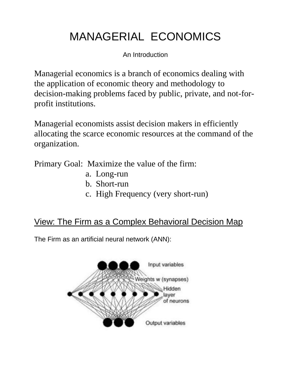## MANAGERIAL ECONOMICS

An Introduction

Managerial economics is a branch of economics dealing with the application of economic theory and methodology to decision-making problems faced by public, private, and not-forprofit institutions.

Managerial economists assist decision makers in efficiently allocating the scarce economic resources at the command of the organization.

Primary Goal: Maximize the value of the firm:

- a. Long-run
- b. Short-run
- c. High Frequency (very short-run)

## View: The Firm as a Complex Behavioral Decision Map

The Firm as an artificial neural network (ANN):

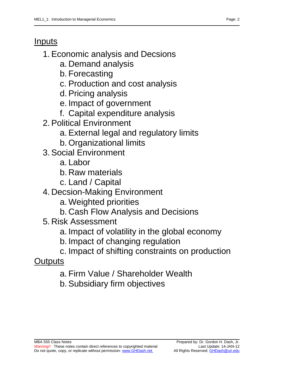## Inputs

- 1. Economic analysis and Decsions
	- a. Demand analysis
	- b. Forecasting
	- c. Production and cost analysis
	- d. Pricing analysis
	- e. Impact of government
	- f. Capital expenditure analysis
- 2. Political Environment
	- a. External legal and regulatory limits
	- b. Organizational limits
- 3. Social Environment
	- a. Labor
	- b. Raw materials
	- c. Land / Capital
- 4. Decsion-Making Environment
	- a. Weighted priorities
	- b. Cash Flow Analysis and Decisions
- 5. Risk Assessment
	- a. Impact of volatility in the global economy
	- b. Impact of changing regulation
	- c. Impact of shifting constraints on production
- **Outputs** 
	- a. Firm Value / Shareholder Wealth
	- b. Subsidiary firm objectives